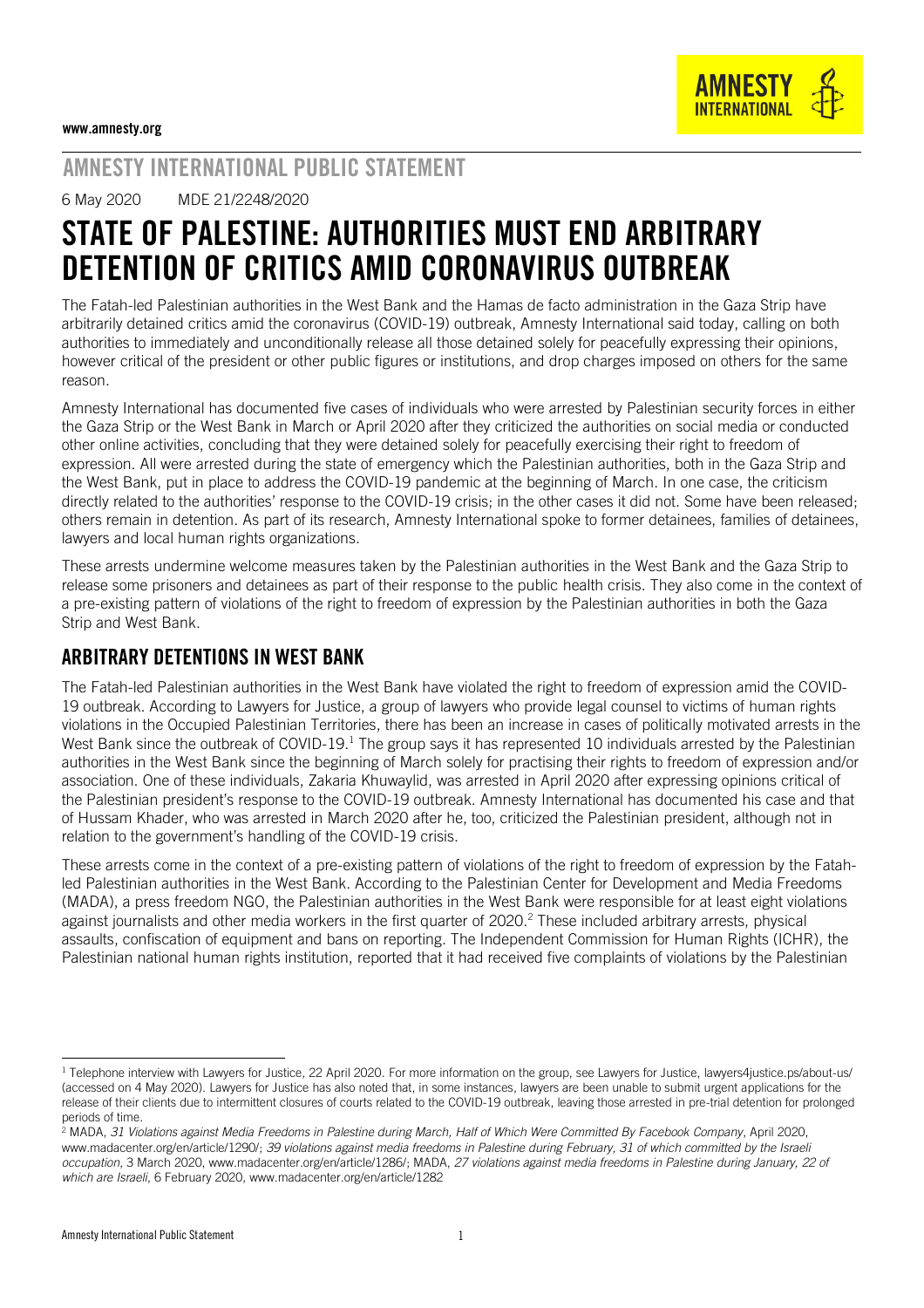

# AMNESTY INTERNATIONAL PUBLIC STATEMENT

6 May 2020 MDE 21/2248/2020

# STATE OF PALESTINE: AUTHORITIES MUST END ARBITRARY DETENTION OF CRITICS AMID CORONAVIRUS OUTBREAK

The Fatah-led Palestinian authorities in the West Bank and the Hamas de facto administration in the Gaza Strip have arbitrarily detained critics amid the coronavirus (COVID-19) outbreak, Amnesty International said today, calling on both authorities to immediately and unconditionally release all those detained solely for peacefully expressing their opinions, however critical of the president or other public figures or institutions, and drop charges imposed on others for the same reason.

Amnesty International has documented five cases of individuals who were arrested by Palestinian security forces in either the Gaza Strip or the West Bank in March or April 2020 after they criticized the authorities on social media or conducted other online activities, concluding that they were detained solely for peacefully exercising their right to freedom of expression. All were arrested during the state of emergency which the Palestinian authorities, both in the Gaza Strip and the West Bank, put in place to address the COVID-19 pandemic at the beginning of March. In one case, the criticism directly related to the authorities' response to the COVID-19 crisis; in the other cases it did not. Some have been released; others remain in detention. As part of its research, Amnesty International spoke to former detainees, families of detainees, lawyers and local human rights organizations.

These arrests undermine welcome measures taken by the Palestinian authorities in the West Bank and the Gaza Strip to release some prisoners and detainees as part of their response to the public health crisis. They also come in the context of a pre-existing pattern of violations of the right to freedom of expression by the Palestinian authorities in both the Gaza Strip and West Bank.

## ARBITRARY DETENTIONS IN WEST BANK

The Fatah-led Palestinian authorities in the West Bank have violated the right to freedom of expression amid the COVID-19 outbreak. According to [Lawyers for Justice,](http://lawyers4justice.ps/) a group of lawyers who provide legal counsel to victims of human rights violations in the Occupied Palestinian Territories, there has been an increase in cases of politically motivated arrests in the West Bank since the outbreak of COVID-19.<sup>1</sup> The group says it has represented 10 individuals arrested by the Palestinian authorities in the West Bank since the beginning of March solely for practising their rights to freedom of expression and/or association. One of these individuals, Zakaria Khuwaylid, was arrested in April 2020 after expressing opinions critical of the Palestinian president's response to the COVID-19 outbreak. Amnesty International has documented his case and that of Hussam Khader, who was arrested in March 2020 after he, too, criticized the Palestinian president, although not in relation to the government's handling of the COVID-19 crisis.

These arrests come in the context of a pre-existing pattern of violations of the right to freedom of expression by the Fatahled Palestinian authorities in the West Bank. According to the Palestinian Center for Development and Media Freedoms (MADA), a press freedom NGO, the Palestinian authorities in the West Bank were responsible for at least eight [violations](https://www.madacenter.org/en/article/1286/) against journalists and other media workers in the first quarter of 2020. <sup>2</sup> These included arbitrary arrests, physical assaults, confiscation of equipment and bans on reporting. The Independent Commission for Human Rights (ICHR), the Palestinian national human rights institution, reported that it had [received](https://ichr.ps/ar/1/5/2852/%D8%A7%D9%84%D8%AA%D9%82%D8%B1%D9%8A%D8%B1-%D8%A7%D9%84%D8%B4%D9%87%D8%B1%D9%8A-%D8%AD%D9%88%D9%84-%D8%A7%D9%84%D8%A7%D9%86%D8%AA%D9%87%D8%A7%D9%83%D8%A7%D8%AA-%D8%A7%D9%84%D9%88%D8%A7%D9%82%D8%B9%D8%A9-%D8%B9%D9%84%D9%89-%D8%AD%D9%82%D9%88%D9%82-%D8%A7%D9%84%D8%A5%D9%86%D8%B3%D8%A7%D9%86-%D9%88%D8%A7%D9%84%D8%AD%D8%B1%D9%8A%D8%A7%D8%AA-%D9%81%D9%8A-%D9%81%D9%84%D8%B3%D8%B7%D9%8A%D9%86-%D8%AE%D9%84%D8%A7%D9%84-%D8%B4%D9%87%D8%B1-%D8%A2%D8%B0%D8%A7%D8%B1-%D9%85%D9%86-%D8%A7%D9%84%D8%B9%D8%A7%D9%85-2020.htm) five complaints of violations by the Palestinian

<sup>-</sup> $1$  Telephone interview with Lawyers for Justice, 22 April 2020. For more information on the group, see Lawyers for Justice[, lawyers4justice.ps/about-us/](file:///C:/Users/laith.abuzeyad/AppData/Local/Microsoft/Windows/Temporary%20Internet%20Files/Content.Outlook/0PRFWAIC/lawyers4justice.ps/about-us/) (accessed on 4 May 2020). Lawyers for Justice has also noted that, in some instances, lawyers are been unable to submit urgent applications for the release of their clients due to intermittent closures of courts related to the COVID-19 outbreak, leaving those arrested in pre-trial detention for prolonged periods of time.

<sup>2</sup> MADA, *31 Violations against Media Freedoms in Palestine during March, Half of Which Were Committed By Facebook Company*, April 2020, [www.madacenter.org/en/article/1290/;](http://www.madacenter.org/en/article/1290/) *39 violations against media freedoms in Palestine during February, 31 of which committed by the Israeli occupation*, 3 March 2020[, www.madacenter.org/en/article/1286/;](http://www.madacenter.org/en/article/1286/) MADA, *27 violations against media freedoms in Palestine during January, 22 of which are Israeli*, 6 February 2020[, www.madacenter.org/en/article/1282](http://www.madacenter.org/en/article/1282/)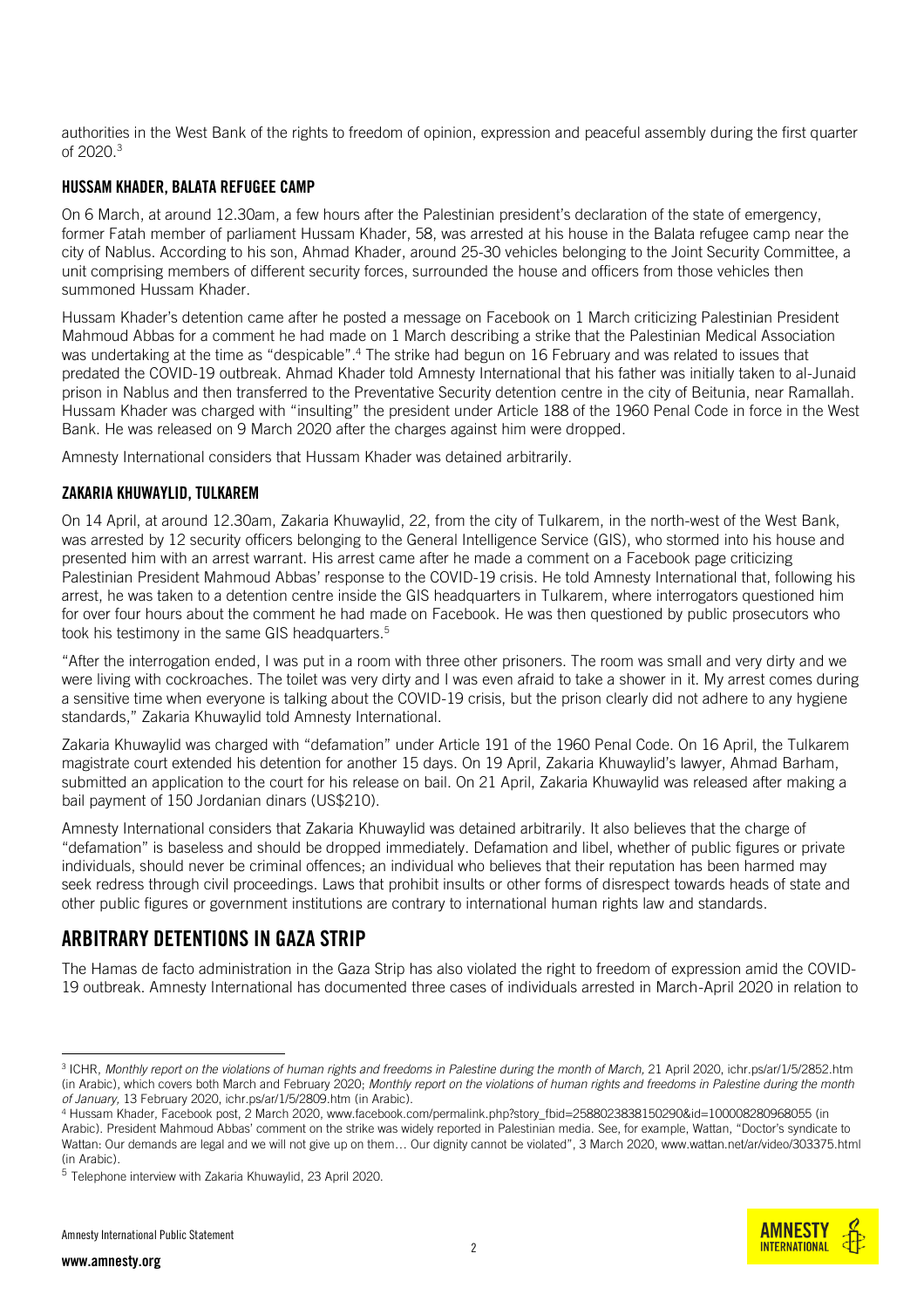authorities in the West Bank of the rights to freedom of opinion, expression and peaceful assembly during the first quarter of 2020. 3

#### HUSSAM KHADER, BALATA REFUGEE CAMP

On 6 March, at around 12.30am, a few hours after the Palestinian president's declaration of the state of emergency, former Fatah member of parliament Hussam Khader, 58, was arrested at his house in the Balata refugee camp near the city of Nablus. According to his son, Ahmad Khader, around 25-30 vehicles belonging to the Joint Security Committee, a unit comprising members of different security forces, surrounded the house and officers from those vehicles then summoned Hussam Khader.

Hussam Khader's detention came after he posted a message on [Facebook o](https://www.facebook.com/permalink.php?story_fbid=2588023838150290&id=100008280968055)n 1 March criticizing Palestinian President Mahmoud Abbas for a comment he had made on 1 March describing a strike that the Palestinian Medical Association was undertaking at the time as "despicable". <sup>4</sup> The strike had begun on 16 February and was related to issues that predated the COVID-19 outbreak. Ahmad Khader told Amnesty International that his father was initially taken to al-Junaid prison in Nablus and then transferred to the Preventative Security detention centre in the city of Beitunia, near Ramallah. Hussam Khader was charged with "insulting" the president under Article 188 of the 1960 Penal Code in force in the West Bank. He was released on 9 March 2020 after the charges against him were dropped.

Amnesty International considers that Hussam Khader was detained arbitrarily.

#### ZAKARIA KHUWAYLID, TULKAREM

On 14 April, at around 12.30am, Zakaria Khuwaylid, 22, from the city of Tulkarem, in the north-west of the West Bank, was arrested by 12 security officers belonging to the General Intelligence Service (GIS), who stormed into his house and presented him with an arrest warrant. His arrest came after he made a comment on a Facebook page criticizing Palestinian President Mahmoud Abbas' response to the COVID-19 crisis. He told Amnesty International that, following his arrest, he was taken to a detention centre inside the GIS headquarters in Tulkarem, where interrogators questioned him for over four hours about the comment he had made on Facebook. He was then questioned by public prosecutors who took his testimony in the same GIS headquarters. 5

"After the interrogation ended, I was put in a room with three other prisoners. The room was small and very dirty and we were living with cockroaches. The toilet was very dirty and I was even afraid to take a shower in it. My arrest comes during a sensitive time when everyone is talking about the COVID-19 crisis, but the prison clearly did not adhere to any hygiene standards," Zakaria Khuwaylid told Amnesty International.

Zakaria Khuwaylid was charged with "defamation" under Article 191 of the 1960 Penal Code. On 16 April, the Tulkarem magistrate court extended his detention for another 15 days. On 19 April, Zakaria Khuwaylid's lawyer, Ahmad Barham, submitted an application to the court for his release on bail. On 21 April, Zakaria Khuwaylid was released after making a bail payment of 150 Jordanian dinars (US\$210).

Amnesty International considers that Zakaria Khuwaylid was detained arbitrarily. It also believes that the charge of "defamation" is baseless and should be dropped immediately. Defamation and libel, whether of public figures or private individuals, should never be criminal offences; an individual who believes that their reputation has been harmed may seek redress through civil proceedings. Laws that prohibit insults or other forms of disrespect towards heads of state and other public figures or government institutions are contrary to international human rights law and standards.

### ARBITRARY DETENTIONS IN GAZA STRIP

The Hamas de facto administration in the Gaza Strip has also violated the right to freedom of expression amid the COVID-19 outbreak. Amnesty International has documented three cases of individuals arrested in March-April 2020 in relation to

-

<sup>3</sup> ICHR, *Monthly report on the violations of human rights and freedoms in Palestine during the month of March,* 21 April 2020, [ichr.ps/ar/1/5/2852.htm](file:///C:/Users/laith.abuzeyad/AppData/Local/Microsoft/Windows/Temporary%20Internet%20Files/Content.Outlook/0PRFWAIC/ichr.ps/ar/1/5/2852.htm) (in Arabic), which covers both March and February 2020; *Monthly report on the violations of human rights and freedoms in Palestine during the month of January,* 13 February 2020, ichr.ps/ar/1/5/2809.htm (in Arabic).

<sup>4</sup> Hussam Khader, Facebook post, 2 March 2020[, www.facebook.com/permalink.php?story\\_fbid=2588023838150290&id=100008280968055](file:///C:/Users/laith.abuzeyad/AppData/Local/Microsoft/Windows/Temporary%20Internet%20Files/Content.Outlook/0PRFWAIC/www.facebook.com/permalink.php%3fstory_fbid=2588023838150290&id=100008280968055) (in Arabic). President Mahmoud Abbas' comment on the strike was widely reported in Palestinian media. See, for example, Wattan, "Doctor's syndicate to Wattan: Our demands are legal and we will not give up on them… Our dignity cannot be violated", 3 March 2020, www.wattan.net/ar/video/303375.html (in Arabic).

<sup>&</sup>lt;sup>5</sup> Telephone interview with Zakaria Khuwaylid, 23 April 2020.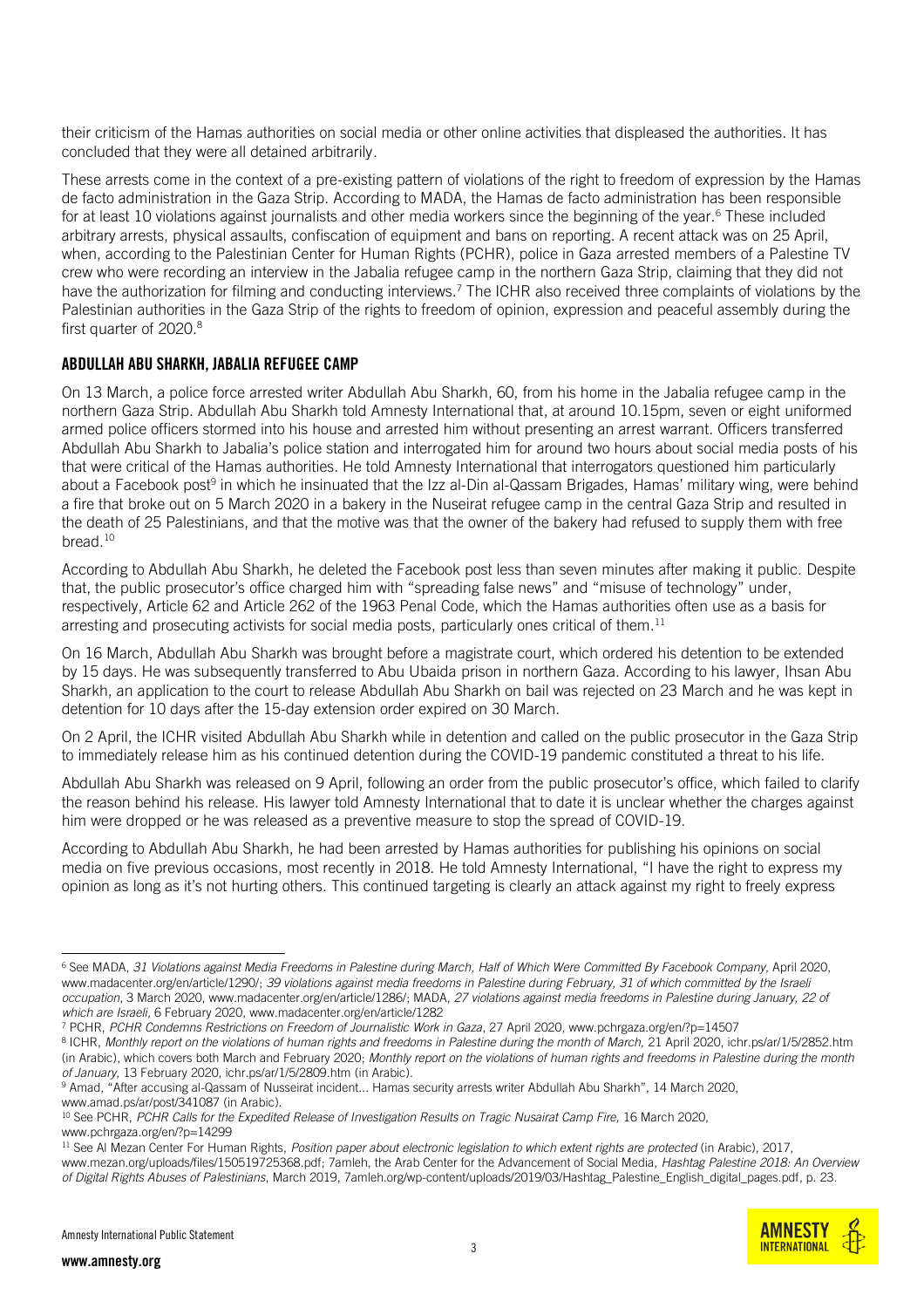their criticism of the Hamas authorities on social media or other online activities that displeased the authorities. It has concluded that they were all detained arbitrarily.

These arrests come in the context of a pre-existing pattern of violations of the right to freedom of expression by the Hamas de facto administration in the Gaza Strip. According to MADA, the Hamas de facto administration has been responsible for at least [10 v](https://www.madacenter.org/en/article/1290/)iolations against journalists and other media workers since the beginning of the year.<sup>6</sup> These included arbitrary arrests, physical assaults, confiscation of equipment and bans on reporting. A recent attack was on 25 April, when, according to the Palestinian Center for Human Rights (PCHR), police in Gaza [arrested](https://www.pchrgaza.org/en/?p=14507) members of a Palestine TV crew who were recording an interview in the Jabalia refugee camp in the northern Gaza Strip, claiming that they did not have the authorization for filming and conducting interviews.<sup>7</sup> The ICHR also [received](https://ichr.ps/ar/1/5/2852/%D8%A7%D9%84%D8%AA%D9%82%D8%B1%D9%8A%D8%B1-%D8%A7%D9%84%D8%B4%D9%87%D8%B1%D9%8A-%D8%AD%D9%88%D9%84-%D8%A7%D9%84%D8%A7%D9%86%D8%AA%D9%87%D8%A7%D9%83%D8%A7%D8%AA-%D8%A7%D9%84%D9%88%D8%A7%D9%82%D8%B9%D8%A9-%D8%B9%D9%84%D9%89-%D8%AD%D9%82%D9%88%D9%82-%D8%A7%D9%84%D8%A5%D9%86%D8%B3%D8%A7%D9%86-%D9%88%D8%A7%D9%84%D8%AD%D8%B1%D9%8A%D8%A7%D8%AA-%D9%81%D9%8A-%D9%81%D9%84%D8%B3%D8%B7%D9%8A%D9%86-%D8%AE%D9%84%D8%A7%D9%84-%D8%B4%D9%87%D8%B1-%D8%A2%D8%B0%D8%A7%D8%B1-%D9%85%D9%86-%D8%A7%D9%84%D8%B9%D8%A7%D9%85-2020.htm) three complaints of violations by the Palestinian authorities in the Gaza Strip of the rights to freedom of opinion, expression and peaceful assembly during the first quarter of 2020. 8

#### ABDULLAH ABU SHARKH, JABALIA REFUGEE CAMP

On 13 March, a police force arrested writer Abdullah Abu Sharkh, 60, from his home in the Jabalia refugee camp in the northern Gaza Strip. Abdullah Abu Sharkh told Amnesty International that, at around 10.15pm, seven or eight uniformed armed police officers stormed into his house and arrested him without presenting an arrest warrant. Officers transferred Abdullah Abu Sharkh to Jabalia's police station and interrogated him for around two hours about social media posts of his that were critical of the Hamas authorities. He told Amnesty International that interrogators questioned him particularly about a [Facebook post](https://www.amad.ps/ar/post/341087/%D8%A8%D8%B9%D8%AF-%D8%A7%D8%AA%D9%87%D8%A7%D9%85%D9%87-%D8%A7%D9%84%D9%82%D8%B3%D8%A7%D9%85-%D8%A8%D8%AD%D8%A7%D8%AF%D8%AB%D8%A9-%D8%A7%D9%84%D9%86%D8%B5%D9%8A%D8%B1%D8%A7%D8%AA-%D8%A3%D9%85%D9%86-%D8%AD%D9%85%D8%A7%D8%B3-%D9%8A%D8%B9%D8%AA%D9%82%D9%84-%D8%A7%D9%84%D9%83%D8%A7%D8%AA%D8%A8-%D8%B9%D8%A8%D8%AF-%D8%A7%D9%84%D9%84%D9%87-%D8%A3%D8%A8%D9%88-%D8%B4%D8%B1%D8%AE)<sup>9</sup> in which he insinuated that the Izz al-Din al-Qassam Brigades, Hamas' military wing, were behind a [fire that broke out](https://www.pchrgaza.org/en/?p=14299) on 5 March 2020 in a bakery in the Nuseirat refugee camp in the central Gaza Strip and resulted in the death of 25 Palestinians, and that the motive was that the owner of the bakery had refused to supply them with free bread.<sup>10</sup>

According to Abdullah Abu Sharkh, he deleted the Facebook post less than seven minutes after making it public. Despite that, the public prosecutor's office charged him with "spreading false news" and "misuse of technology" under, respectively, Article 62 and Article 262 of the 1963 Penal Code, which the Hamas authorities often use as a basis for arresting and prosecuting activists for social media posts, particularly ones critical of them. $^{\rm 11}$ 

On 16 March, Abdullah Abu Sharkh was brought before a magistrate court, which ordered his detention to be extended by 15 days. He was subsequently transferred to Abu Ubaida prison in northern Gaza. According to his lawyer, Ihsan Abu Sharkh, an application to the court to release Abdullah Abu Sharkh on bail was rejected on 23 March and he was kept in detention for 10 days after the 15-day extension order expired on 30 March.

On 2 April, the ICHR visited Abdullah Abu Sharkh while in detention and called on the public prosecutor in the Gaza Strip to immediately release him as his continued detention during the COVID-19 pandemic constituted a threat to his life.

Abdullah Abu Sharkh was released on 9 April, following an order from the public prosecutor's office, which failed to clarify the reason behind his release. His lawyer told Amnesty International that to date it is unclear whether the charges against him were dropped or he was released as a preventive measure to stop the spread of COVID-19.

According to Abdullah Abu Sharkh, he had been arrested by Hamas authorities for publishing his opinions on social media on five previous occasions, most recently in 2018. He told Amnesty International, "I have the right to express my opinion as long as it's not hurting others. This continued targeting is clearly an attack against my right to freely express

**AMNESTY INTERNATIONAL** 

<sup>-</sup><sup>6</sup> See MADA, *31 Violations against Media Freedoms in Palestine during March, Half of Which Were Committed By Facebook Company*, April 2020, [www.madacenter.org/en/article/1290/;](http://www.madacenter.org/en/article/1290/) *39 violations against media freedoms in Palestine during February, 31 of which committed by the Israeli occupation*, 3 March 2020[, www.madacenter.org/en/article/1286/;](http://www.madacenter.org/en/article/1286/) MADA, *27 violations against media freedoms in Palestine during January, 22 of which are Israeli*, 6 February 2020[, www.madacenter.org/en/article/1282](http://www.madacenter.org/en/article/1282/)

<sup>7</sup> PCHR, *PCHR Condemns Restrictions on Freedom of Journalistic Work in Gaza*, 27 April 2020[, www.pchrgaza.org/en/?p=14507](http://www.pchrgaza.org/en/?p=14507)

<sup>&</sup>lt;sup>8</sup> ICHR, *Monthly report on the violations of human rights and freedoms in Palestine during the month of March, 21 April 2020, [ichr.ps/ar/1/5/2852.htm](file:///C:/Users/maen.hammad/AppData/Local/Microsoft/Windows/Temporary%20Internet%20Files/Content.Outlook/OA7UXU00/ichr.ps/ar/1/5/2852.htm)* (in Arabic), which covers both March and February 2020; *Monthly report on the violations of human rights and freedoms in Palestine during the month of January,* 13 February 2020, ichr.ps/ar/1/5/2809.htm (in Arabic).

<sup>&</sup>lt;sup>9</sup> Amad, "After accusing al-Qassam of Nusseirat incident... Hamas security arrests writer Abdullah Abu Sharkh", 14 March 2020, [www.amad.ps/ar/post/341087](https://www.amad.ps/ar/post/341087) (in Arabic).

<sup>10</sup> See PCHR, *PCHR Calls for the Expedited Release of Investigation Results on Tragic Nusairat Camp Fire,* 16 March 2020, [www.pchrgaza.org/en/?p=14299](http://www.pchrgaza.org/en/?p=14299)

<sup>11</sup> See Al Mezan Center For Human Rights, *Position paper about electronic legislation to which extent rights are protected* (in Arabic), 2017, [www.mezan.org/uploads/files/150519725368.pdf;](http://www.mezan.org/uploads/files/150519725368.pdf) 7amleh, the Arab Center for the Advancement of Social Media, *Hashtag Palestine 2018: An Overview of Digital Rights Abuses of Palestinians*, March 2019[, 7amleh.org/wp-content/uploads/2019/03/Hashtag\\_Palestine\\_English\\_digital\\_pages.pdf,](file:///C:/Users/laith.abuzeyad/AppData/Local/Microsoft/Windows/Temporary%20Internet%20Files/Content.Outlook/0PRFWAIC/7amleh.org/wp-content/uploads/2019/03/Hashtag_Palestine_English_digital_pages.pdf) p. 23.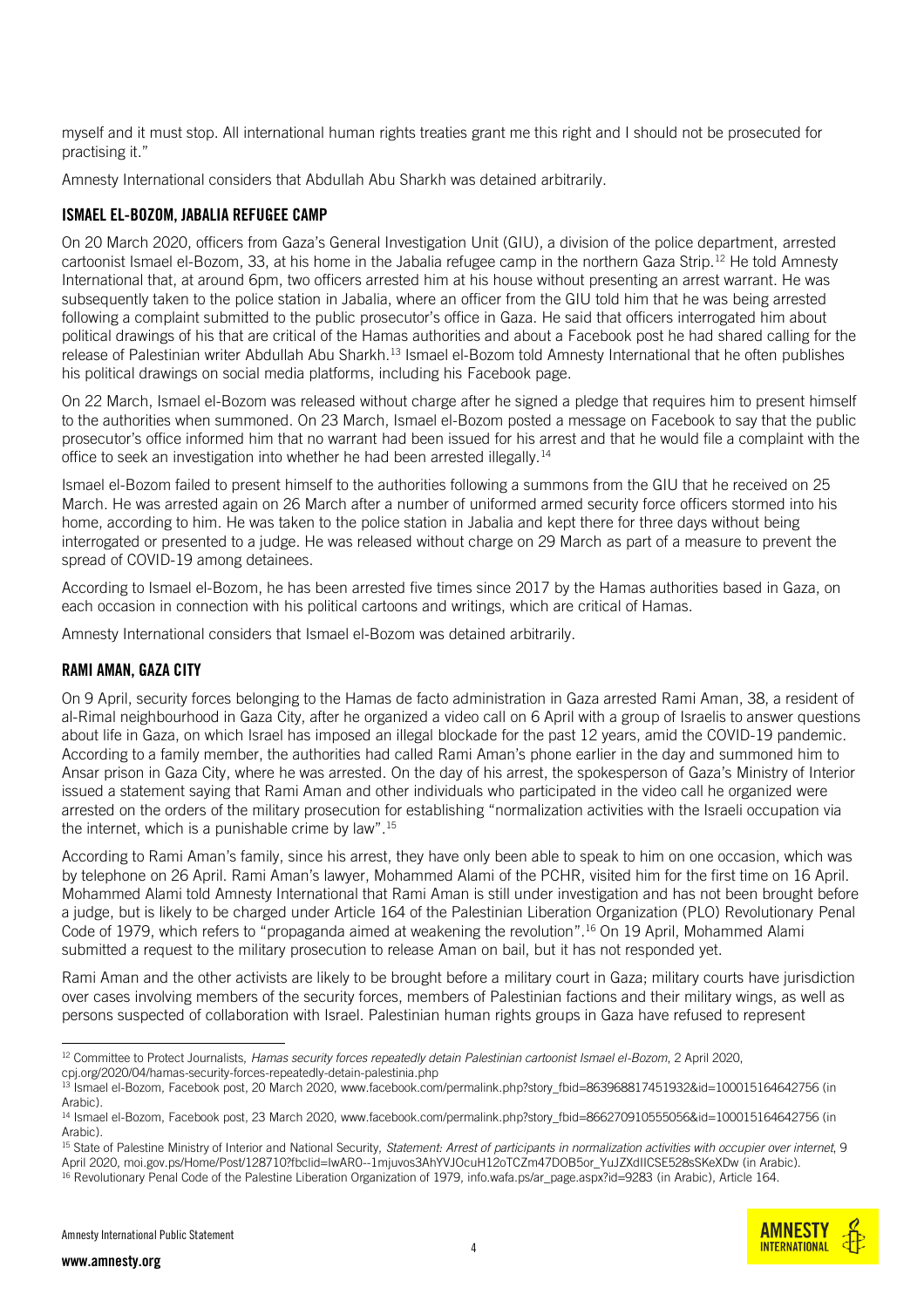myself and it must stop. All international human rights treaties grant me this right and I should not be prosecuted for practising it."

Amnesty International considers that Abdullah Abu Sharkh was detained arbitrarily.

#### ISMAEL EL-BOZOM, JABALIA REFUGEE CAMP

On 20 March 2020, officers from Gaza's General Investigation Unit (GIU), a division of the police department, [arrested](https://cpj.org/2020/04/hamas-security-forces-repeatedly-detain-palestinia.php) cartoonist Ismael el-Bozom, 33, at his home in the Jabalia refugee camp in the northern Gaza Strip.<sup>12</sup> He told Amnesty International that, at around 6pm, two officers arrested him at his house without presenting an arrest warrant. He was subsequently taken to the police station in Jabalia, where an officer from the GIU told him that he was being arrested following a complaint submitted to the public prosecutor's office in Gaza. He said that officers interrogated him about political drawings of his that are critical of the Hamas authorities and about a [Facebook post](https://www.facebook.com/permalink.php?story_fbid=863968817451932&id=100015164642756) he had shared calling for the release of Palestinian writer Abdullah Abu Sharkh.<sup>13</sup> Ismael el-Bozom told Amnesty International that he often publishes his political drawings on social media platforms, including his [Facebook page.](https://www.facebook.com/people/%D8%A5%D8%B3%D9%85%D8%A7%D8%B9%D9%8A%D9%84-%D8%A7%D9%84%D8%A8%D8%B2%D9%85/100015164642756)

On 22 March, Ismael el-Bozom was released without charge after he signed a pledge that requires him to present himself to the authorities when summoned. On 23 March, Ismael el-Bozom [posted a message on Facebook](https://www.facebook.com/permalink.php?story_fbid=866270910555056&id=100015164642756) to say that the public prosecutor's office informed him that no warrant had been issued for his arrest and that he would file a complaint with the office to seek an investigation into whether he had been arrested illegally.<sup>14</sup>

Ismael el-Bozom failed to present himself to the authorities following a summons from the GIU that he received on 25 March. He was arrested again on 26 March after a number of uniformed armed security force officers stormed into his home, according to him. He was taken to the police station in Jabalia and kept there for three days without being interrogated or presented to a judge. He was released without charge on 29 March as part of a measure to prevent the spread of COVID-19 among detainees.

According to Ismael el-Bozom, he has been arrested five times since 2017 by the Hamas authorities based in Gaza, on each occasion in connection with his political cartoons and writings, which are critical of Hamas.

Amnesty International considers that Ismael el-Bozom was detained arbitrarily.

#### RAMI AMAN, GAZA CITY

On 9 April, security forces belonging to the Hamas de facto administration in Gaza arrested Rami Aman, 38, a resident of al-Rimal neighbourhood in Gaza City, after he organized a video call on 6 April with a group of Israelis to answer questions about life in Gaza, on which Israel has imposed an illegal blockade for the past 12 years, amid the COVID-19 pandemic. According to a family member, the authorities had called Rami Aman's phone earlier in the day and summoned him to Ansar prison in Gaza City, where he was arrested. On the day of his arrest, the spokesperson of Gaza's Ministry of Interior [issued a statement](https://moi.gov.ps/Home/Post/128710?fbclid=IwAR0--1mjuvos3AhYVJOcuH12oTCZm47DOB5or_YuJZXdIICSE528sSKeXDw) saying that Rami Aman and other individuals who participated in the video call he organized were arrested on the orders of the military prosecution for establishing "normalization activities with the Israeli occupation via the internet, which is a punishable crime by law".<sup>15</sup>

According to Rami Aman's family, since his arrest, they have only been able to speak to him on one occasion, which was by telephone on 26 April. Rami Aman's lawyer, Mohammed Alami of the PCHR, visited him for the first time on 16 April. Mohammed Alami told Amnesty International that Rami Aman is still under investigation and has not been brought before a judge, but is likely to be charged under Article 164 of the Palestinian Liberation Organization (PLO) Revolutionary [Penal](http://info.wafa.ps/ar_page.aspx?id=9283)  [Code of 1979](http://info.wafa.ps/ar_page.aspx?id=9283), which refers to "propaganda aimed at weakening the revolution". <sup>16</sup> On 19 April, Mohammed Alami submitted a request to the military prosecution to release Aman on bail, but it has not responded yet.

Rami Aman and the other activists are likely to be brought before a [military court in Gaza;](https://www.amnesty.org/en/documents/mde21/1643/2015/en/) military courts have jurisdiction over cases involving members of the security forces, members of Palestinian factions and their military wings, as well as persons suspected of collaboration with Israel. Palestinian human rights groups in Gaza have refused to represent

-



<sup>12</sup> Committee to Protect Journalists, *Hamas security forces repeatedly detain Palestinian cartoonist Ismael el-Bozom*, 2 April 2020, [cpj.org/2020/04/hamas-security-forces-repeatedly-detain-palestinia.php](file:///C:/Users/laith.abuzeyad/AppData/Local/Microsoft/Windows/Temporary%20Internet%20Files/Content.Outlook/0PRFWAIC/cpj.org/2020/04/hamas-security-forces-repeatedly-detain-palestinia.php)

<sup>13</sup> Ismael el-Bozom, Facebook post, 20 March 2020[, www.facebook.com/permalink.php?story\\_fbid=863968817451932&id=100015164642756](http://www.facebook.com/permalink.php?story_fbid=863968817451932&id=100015164642756) (in Arabic).

<sup>&</sup>lt;sup>14</sup> Ismael el-Bozom, Facebook post, 23 March 2020[, www.facebook.com/permalink.php?story\\_fbid=866270910555056&id=100015164642756](http://www.facebook.com/permalink.php?story_fbid=866270910555056&id=100015164642756) (in Arabic).

<sup>15</sup> State of Palestine Ministry of Interior and National Security, *Statement: Arrest of participants in normalization activities with occupier over internet*, 9 April 2020[, moi.gov.ps/Home/Post/128710?fbclid=IwAR0--1mjuvos3AhYVJOcuH12oTCZm47DOB5or\\_YuJZXdIICSE528sSKeXDw](file:///C:/Users/laith.abuzeyad/AppData/Local/Microsoft/Windows/Temporary%20Internet%20Files/Content.Outlook/0PRFWAIC/moi.gov.ps/Home/Post/128710%3ffbclid=IwAR0--1mjuvos3AhYVJOcuH12oTCZm47DOB5or_YuJZXdIICSE528sSKeXDw) (in Arabic).

<sup>&</sup>lt;sup>16</sup> Revolutionary Penal Code of the Palestine Liberation Organization of 1979, info.wafa.ps/ar\_page.aspx?id=9283 (in Arabic), Article 164.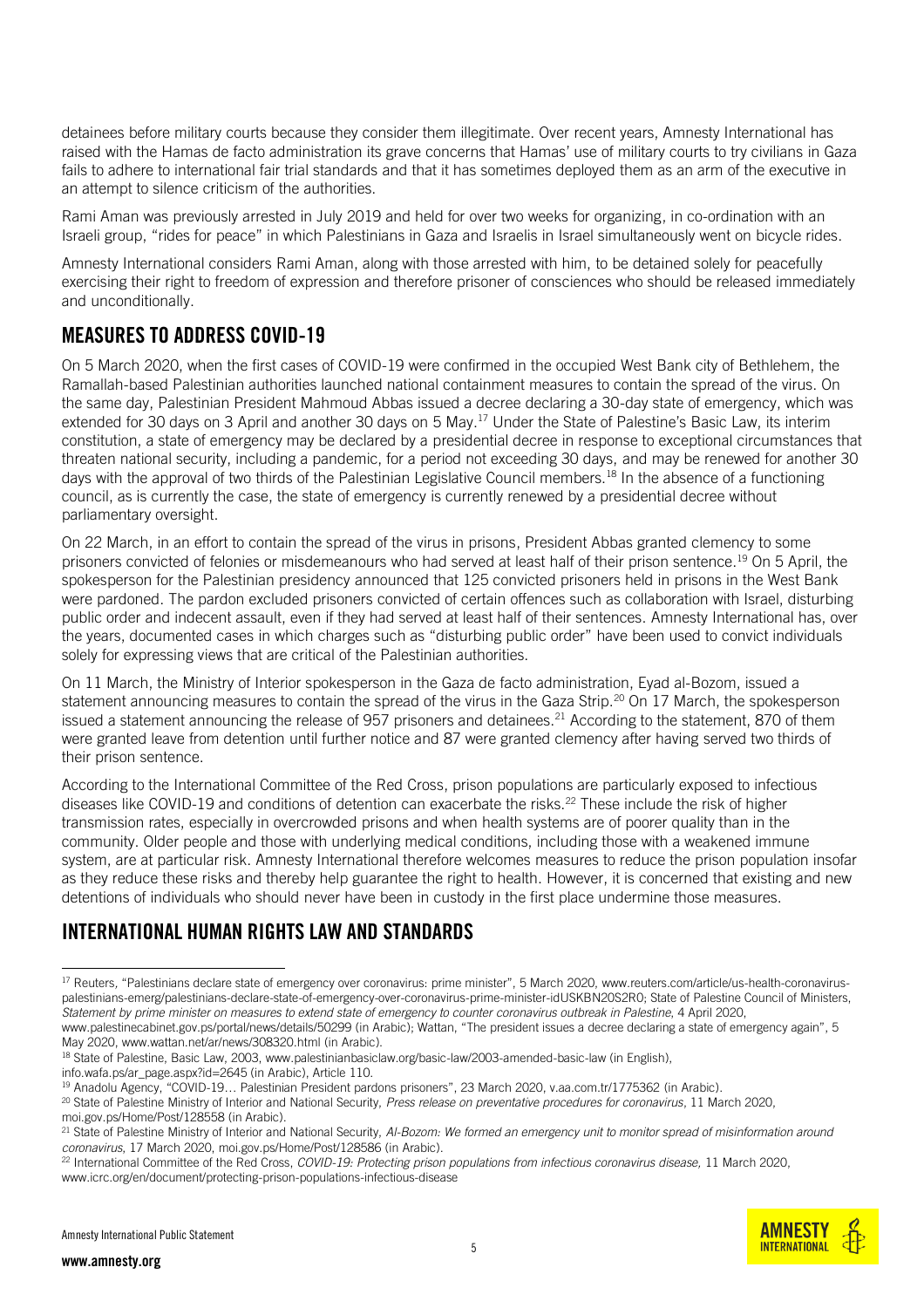detainees before military courts because they consider them illegitimate. Over recent years, Amnesty International has raised with the Hamas de facto administration its grave concerns that Hamas' use of military courts to try civilians in Gaza fails to adhere to international fair trial standards and that it has sometimes deployed them as an arm of the executive in an attempt to silence criticism of the authorities.

Rami Aman was previously arrested in July 2019 and held for over two weeks for organizing, in co-ordination with an Israeli group, "rides for peace" in which Palestinians in Gaza and Israelis in Israel simultaneously went on bicycle rides.

Amnesty International considers Rami Aman, along with those arrested with him, to be detained solely for peacefully exercising their right to freedom of expression and therefore prisoner of consciences who should be released immediately and unconditionally.

## MEASURES TO ADDRESS COVID-19

On 5 March 2020, when the first cases of COVID-19 were confirmed in the occupied West Bank city of Bethlehem, the Ramallah-based Palestinian authorities launched national containment measures to contain the spread of the virus. On the same day, Palestinian President Mahmoud Abbas issued a decree declaring a 30-day state of emergency, which was [extended](http://www.palestinecabinet.gov.ps/portal/news/details/50299) for 30 days on 3 April and another 30 days on 5 May.<sup>17</sup> Under the State of Palestine's Basic Law, its interim constitution, a state of emergency may be declared by a presidential decree in response to exceptional circumstances that threaten national security, including a pandemic, for a period not exceeding 30 days, and may be renewed for another 30 days with the approval of two thirds of the Palestinian Legislative Council members.<sup>18</sup> In the absence of a functioning council, as is currently the case, the state of emergency is currently renewed by a presidential decree without parliamentary oversight.

On 22 March, in an effort to contain the spread of the virus in prisons, President Abbas [granted clemency](https://www.aa.com.tr/ar/%D8%A7%D9%84%D8%AF%D9%88%D9%84-%D8%A7%D9%84%D8%B9%D8%B1%D8%A8%D9%8A%D8%A9/%D9%83%D9%88%D8%B1%D9%88%D9%86%D8%A7-%D8%A7%D9%84%D8%B1%D8%A6%D9%8A%D8%B3-%D8%A7%D9%84%D9%81%D9%84%D8%B3%D8%B7%D9%8A%D9%86%D9%8A-%D9%8A%D8%B9%D9%81%D9%88-%D8%B9%D9%86-%D8%B3%D8%AC%D9%86%D8%A7%D8%A1-%D8%AC%D9%86%D8%A7%D8%A6%D9%8A%D9%8A%D9%86-/1775362) to some prisoners convicted of felonies or misdemeanours who had served at least half of their prison sentence.<sup>19</sup> On 5 April, the spokesperson for the Palestinian presidency [announced](http://www.alquds.com/articles/1586108086747478600/) that 125 convicted prisoners held in prisons in the West Bank were pardoned. The pardon excluded prisoners convicted of certain offences such as collaboration with Israel, disturbing public order and indecent assault, even if they had served at least half of their sentences. Amnesty International has, over the years, documented cases in which charges such as "disturbing public order" have been used to convict individuals solely for expressing views that are critical of the Palestinian authorities.

On 11 March, the Ministry of Interior spokesperson in the Gaza de facto administration, Eyad al-Bozom, [issued a](https://moi.gov.ps/Home/Post/128558)  [statement](https://moi.gov.ps/Home/Post/128558) announcing measures to contain the spread of the virus in the Gaza Strip.<sup>20</sup> On 17 March, the spokesperson [issued a statement](https://moi.gov.ps/Home/Post/128586) announcing the release of 957 prisoners and detainees.<sup>21</sup> According to the statement, 870 of them were granted leave from detention until further notice and 87 were granted clemency after having served two thirds of their prison sentence.

According to the [International Committee of the Red Cross,](https://www.icrc.org/en/document/protecting-prison-populations-infectious-disease?utm_source=twitter) prison populations are particularly exposed to infectious diseases like COVID-19 and conditions of detention can exacerbate the risks.<sup>22</sup> These include the risk of higher transmission rates, especially in overcrowded prisons and when health systems are of poorer quality than in the community. Older people and those with underlying medical conditions, including those with a weakened immune system, are at particular risk. Amnesty International therefore welcomes measures to reduce the prison population insofar as they reduce these risks and thereby help guarantee the right to health. However, it is concerned that existing and new detentions of individuals who should never have been in custody in the first place undermine those measures.

## INTERNATIONAL HUMAN RIGHTS LAW AND STANDARDS

May 2020[, www.wattan.net/ar/news/308320.html](file:///C:/Users/laith.abuzeyad/AppData/Local/Microsoft/Windows/Temporary%20Internet%20Files/Content.Outlook/0PRFWAIC/www.wattan.net/ar/news/308320.html) (in Arabic).

info.wafa.ps/ar\_page.aspx?id=2645 (in Arabic), Article 110.

-



<sup>17</sup> Reuters*,* "Palestinians declare state of emergency over coronavirus: prime minister", 5 March 2020, www.reuters.com/article/us-health-coronaviruspalestinians-emerg/palestinians-declare-state-of-emergency-over-coronavirus-prime-minister-idUSKBN20S2R0; State of Palestine Council of Ministers, *Statement by prime minister on measures to extend state of emergency to counter coronavirus outbreak in Palestine*, 4 April 2020, [www.palestinecabinet.gov.ps/portal/news/details/50299](http://www.palestinecabinet.gov.ps/portal/news/details/50299) (in Arabic); Wattan, "The president issues a decree declaring a state of emergency again", 5

<sup>&</sup>lt;sup>18</sup> State of Palestine, Basic Law, 2003, [www.palestinianbasiclaw.org/basic-law/2003-amended-basic-law](http://www.palestinianbasiclaw.org/basic-law/2003-amended-basic-law) (in English),

<sup>19</sup> Anadolu Agency, "COVID-19… Palestinian President pardons prisoners", 23 March 2020, v.aa.com.tr/1775362 (in Arabic).

<sup>20</sup> State of Palestine Ministry of Interior and National Security, *Press release on preventative procedures for coronavirus*, 11 March 2020,

[moi.gov.ps/Home/Post/128558](file:///C:/Users/laith.abuzeyad/AppData/Local/Microsoft/Windows/Temporary%20Internet%20Files/Content.Outlook/0PRFWAIC/moi.gov.ps/Home/Post/128558) (in Arabic).

<sup>21</sup> State of Palestine Ministry of Interior and National Security, *Al-Bozom: We formed an emergency unit to monitor spread of misinformation around coronavirus*, 17 March 2020[, moi.gov.ps/Home/Post/128586](file:///C:/Users/laith.abuzeyad/AppData/Local/Microsoft/Windows/Temporary%20Internet%20Files/Content.Outlook/0PRFWAIC/moi.gov.ps/Home/Post/128586) (in Arabic).

<sup>22</sup> International Committee of the Red Cross, *COVID-19: Protecting prison populations from infectious coronavirus disease,* 11 March 2020, [www.icrc.org/en/document/protecting-prison-populations-infectious-disease](http://www.icrc.org/en/document/protecting-prison-populations-infectious-disease)